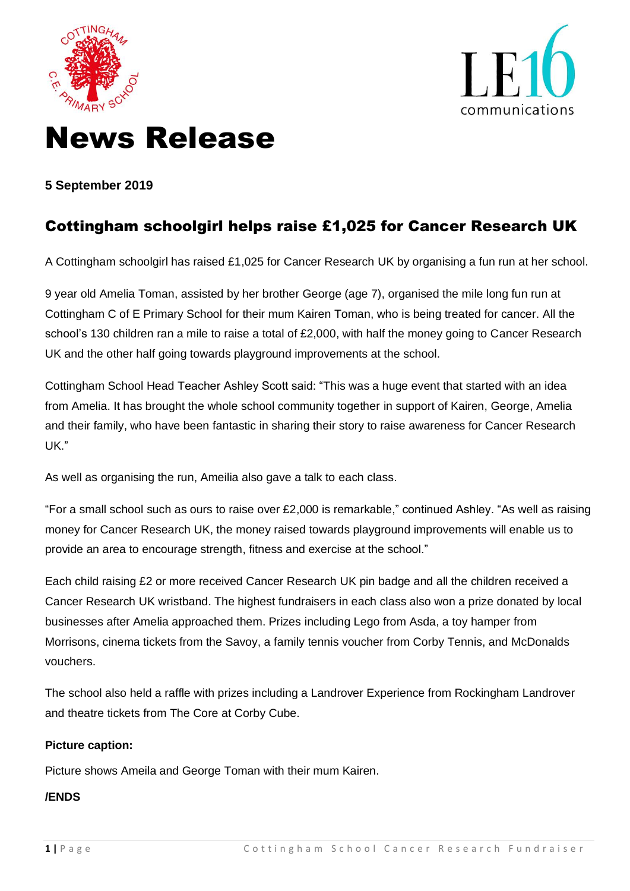



# News Release

**5 September 2019**

# Cottingham schoolgirl helps raise £1,025 for Cancer Research UK

A Cottingham schoolgirl has raised £1,025 for Cancer Research UK by organising a fun run at her school.

9 year old Amelia Toman, assisted by her brother George (age 7), organised the mile long fun run at Cottingham C of E Primary School for their mum Kairen Toman, who is being treated for cancer. All the school's 130 children ran a mile to raise a total of £2,000, with half the money going to Cancer Research UK and the other half going towards playground improvements at the school.

Cottingham School Head Teacher Ashley Scott said: "This was a huge event that started with an idea from Amelia. It has brought the whole school community together in support of Kairen, George, Amelia and their family, who have been fantastic in sharing their story to raise awareness for Cancer Research UK."

As well as organising the run, Ameilia also gave a talk to each class.

"For a small school such as ours to raise over £2,000 is remarkable," continued Ashley. "As well as raising money for Cancer Research UK, the money raised towards playground improvements will enable us to provide an area to encourage strength, fitness and exercise at the school."

Each child raising £2 or more received Cancer Research UK pin badge and all the children received a Cancer Research UK wristband. The highest fundraisers in each class also won a prize donated by local businesses after Amelia approached them. Prizes including Lego from Asda, a toy hamper from Morrisons, cinema tickets from the Savoy, a family tennis voucher from Corby Tennis, and McDonalds vouchers.

The school also held a raffle with prizes including a Landrover Experience from Rockingham Landrover and theatre tickets from The Core at Corby Cube.

#### **Picture caption:**

Picture shows Ameila and George Toman with their mum Kairen.

## **/ENDS**